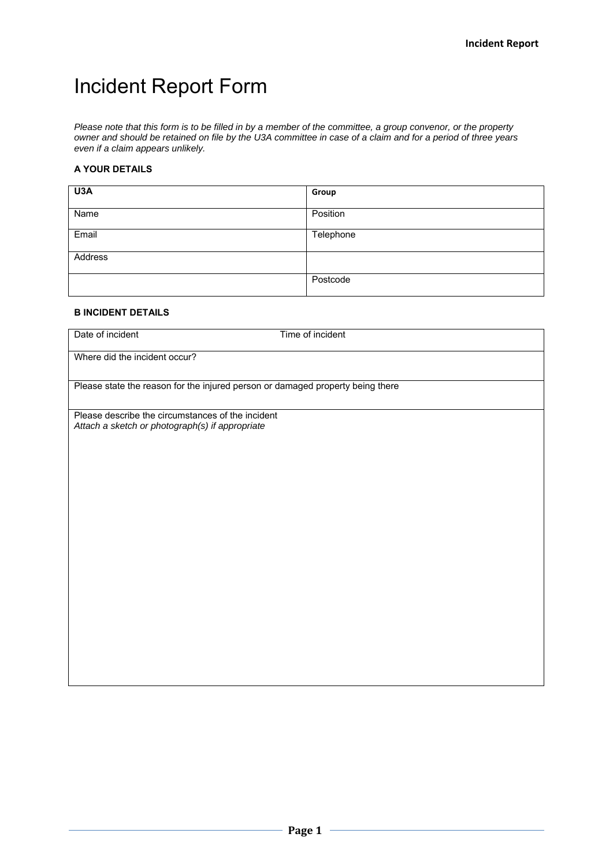# Incident Report Form

*Please note that this form is to be filled in by a member of the committee, a group convenor, or the property owner and should be retained on file by the U3A committee in case of a claim and for a period of three years even if a claim appears unlikely.* 

#### **A YOUR DETAILS**

| U3A     | Group     |
|---------|-----------|
| Name    | Position  |
| Email   | Telephone |
| Address |           |
|         | Postcode  |

#### **B INCIDENT DETAILS**

Date of incident Time of incident

Where did the incident occur?

Please state the reason for the injured person or damaged property being there

Please describe the circumstances of the incident *Attach a sketch or photograph(s) if appropriate*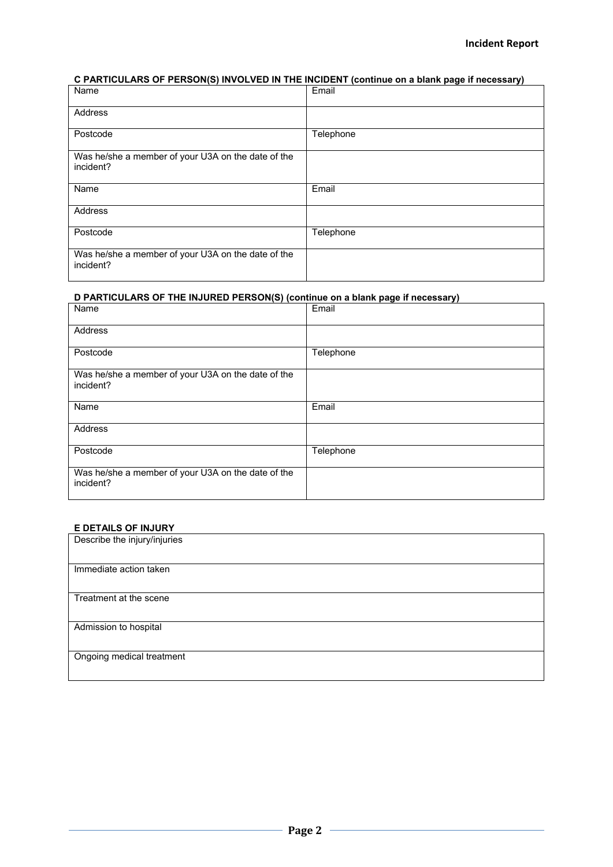### **C PARTICULARS OF PERSON(S) INVOLVED IN THE INCIDENT (continue on a blank page if necessary)**

| Name                                                            | Email     |
|-----------------------------------------------------------------|-----------|
| Address                                                         |           |
| Postcode                                                        | Telephone |
| Was he/she a member of your U3A on the date of the<br>incident? |           |
| Name                                                            | Email     |
| Address                                                         |           |
| Postcode                                                        | Telephone |
| Was he/she a member of your U3A on the date of the<br>incident? |           |

## **D PARTICULARS OF THE INJURED PERSON(S) (continue on a blank page if necessary)**

| Name                                                            | Email     |
|-----------------------------------------------------------------|-----------|
| Address                                                         |           |
| Postcode                                                        | Telephone |
| Was he/she a member of your U3A on the date of the<br>incident? |           |
| Name                                                            | Email     |
| <b>Address</b>                                                  |           |
| Postcode                                                        | Telephone |
| Was he/she a member of your U3A on the date of the<br>incident? |           |

#### **E DETAILS OF INJURY**

| Describe the injury/injuries |
|------------------------------|
|                              |
| Immediate action taken       |
| Treatment at the scene       |
| Admission to hospital        |
| Ongoing medical treatment    |